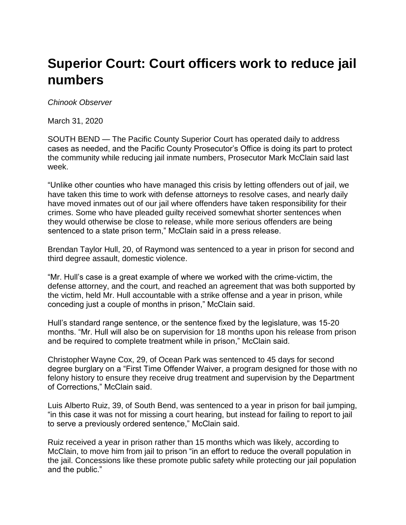## **Superior Court: Court officers work to reduce jail numbers**

*Chinook Observer*

March 31, 2020

SOUTH BEND — The Pacific County Superior Court has operated daily to address cases as needed, and the Pacific County Prosecutor's Office is doing its part to protect the community while reducing jail inmate numbers, Prosecutor Mark McClain said last week.

"Unlike other counties who have managed this crisis by letting offenders out of jail, we have taken this time to work with defense attorneys to resolve cases, and nearly daily have moved inmates out of our jail where offenders have taken responsibility for their crimes. Some who have pleaded guilty received somewhat shorter sentences when they would otherwise be close to release, while more serious offenders are being sentenced to a state prison term," McClain said in a press release.

Brendan Taylor Hull, 20, of Raymond was sentenced to a year in prison for second and third degree assault, domestic violence.

"Mr. Hull's case is a great example of where we worked with the crime-victim, the defense attorney, and the court, and reached an agreement that was both supported by the victim, held Mr. Hull accountable with a strike offense and a year in prison, while conceding just a couple of months in prison," McClain said.

Hull's standard range sentence, or the sentence fixed by the legislature, was 15-20 months. "Mr. Hull will also be on supervision for 18 months upon his release from prison and be required to complete treatment while in prison," McClain said.

Christopher Wayne Cox, 29, of Ocean Park was sentenced to 45 days for second degree burglary on a "First Time Offender Waiver, a program designed for those with no felony history to ensure they receive drug treatment and supervision by the Department of Corrections," McClain said.

Luis Alberto Ruiz, 39, of South Bend, was sentenced to a year in prison for bail jumping, "in this case it was not for missing a court hearing, but instead for failing to report to jail to serve a previously ordered sentence," McClain said.

Ruiz received a year in prison rather than 15 months which was likely, according to McClain, to move him from jail to prison "in an effort to reduce the overall population in the jail. Concessions like these promote public safety while protecting our jail population and the public."